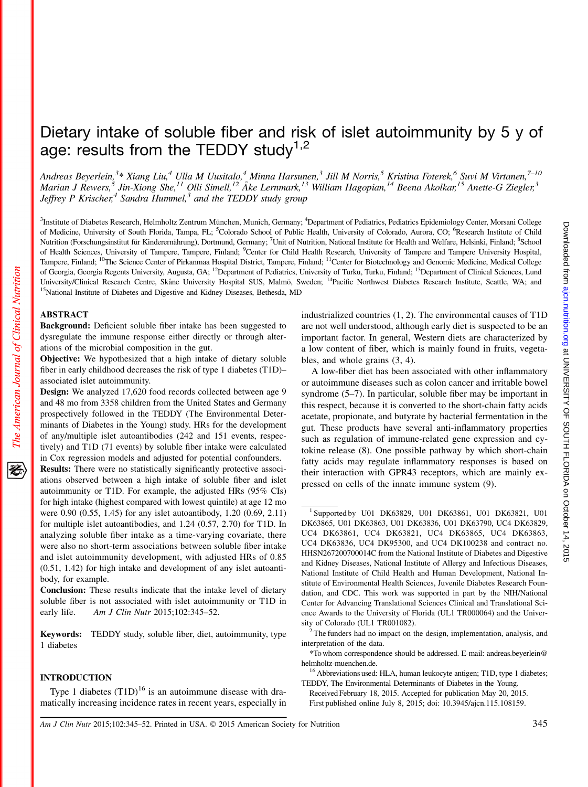# Dietary intake of soluble fiber and risk of islet autoimmunity by 5 y of age: results from the TEDDY study<sup>1,2</sup>

Andreas Beyerlein,<sup>3</sup>\* Xiang Liu,<sup>4</sup> Ulla M Uusitalo,<sup>4</sup> Minna Harsunen,<sup>3</sup> Jill M Norris,<sup>5</sup> Kristina Foterek,<sup>6</sup> Suvi M Virtanen,<sup>7–10</sup> Marian J Rewers,  $^5$  Jin-Xiong She,  $^{11}$  Olli Simell,  $^{12}$  Åke Lernmark,  $^{13}$  William Hagopian,  $^{14}$  Beena Akolkar,  $^{15}$  Anette-G Ziegler,  $^3$ Jeffrey P Krischer,<sup>4</sup> Sandra Hummel,<sup>3</sup> and the TEDDY study group

<sup>3</sup>Institute of Diabetes Research, Helmholtz Zentrum München, Munich, Germany; <sup>4</sup>Department of Pediatrics, Pediatrics Epidemiology Center, Morsani College of Medicine, University of South Florida, Tampa, FL; <sup>5</sup>Colorado School of Public Health, University of Colorado, Aurora, CO; <sup>6</sup>Research Institute of Child Nutrition (Forschungsinstitut für Kinderernährung), Dortmund, Germany; <sup>7</sup>Unit of Nutrition, National Institute for Health and Welfare, Helsinki, Finland; <sup>8</sup>School of Health Sciences, University of Tampere, Tampere, Finland; <sup>9</sup>Center for Child Health Research, University of Tampere and Tampere University Hospital, Tampere, Finland; <sup>10</sup>The Science Center of Pirkanmaa Hospital District, Tampere, Finland; <sup>11</sup>Center for Biotechnology and Genomic Medicine, Medical College of Georgia, Georgia Regents University, Augusta, GA; <sup>12</sup>Department of Pediatrics, University of Turku, Turku, Finland; <sup>13</sup>Department of Clinical Sciences, Lund University/Clinical Research Centre, Skåne University Hospital SUS, Malmö, Sweden; <sup>14</sup>Pacific Northwest Diabetes Research Institute, Seattle, WA; and <sup>15</sup>National Institute of Diabetes and Digestive and Kidney Diseases, B

#### ABSTRACT

Background: Deficient soluble fiber intake has been suggested to dysregulate the immune response either directly or through alterations of the microbial composition in the gut.

Objective: We hypothesized that a high intake of dietary soluble fiber in early childhood decreases the risk of type 1 diabetes (T1D)– associated islet autoimmunity.

Design: We analyzed 17,620 food records collected between age 9 and 48 mo from 3358 children from the United States and Germany prospectively followed in the TEDDY (The Environmental Determinants of Diabetes in the Young) study. HRs for the development of any/multiple islet autoantibodies (242 and 151 events, respectively) and T1D (71 events) by soluble fiber intake were calculated in Cox regression models and adjusted for potential confounders.

Results: There were no statistically significantly protective associations observed between a high intake of soluble fiber and islet autoimmunity or T1D. For example, the adjusted HRs (95% CIs) for high intake (highest compared with lowest quintile) at age 12 mo were 0.90 (0.55, 1.45) for any islet autoantibody, 1.20 (0.69, 2.11) for multiple islet autoantibodies, and 1.24 (0.57, 2.70) for T1D. In analyzing soluble fiber intake as a time-varying covariate, there were also no short-term associations between soluble fiber intake and islet autoimmunity development, with adjusted HRs of 0.85 (0.51, 1.42) for high intake and development of any islet autoantibody, for example.

Conclusion: These results indicate that the intake level of dietary soluble fiber is not associated with islet autoimmunity or T1D in early life. Am J Clin Nutr 2015;102:345–52.

Keywords: TEDDY study, soluble fiber, diet, autoimmunity, type 1 diabetes

# INTRODUCTION

Type 1 diabetes  $(T1D)^{16}$  is an autoimmune disease with dramatically increasing incidence rates in recent years, especially in industrialized countries (1, 2). The environmental causes of T1D are not well understood, although early diet is suspected to be an important factor. In general, Western diets are characterized by a low content of fiber, which is mainly found in fruits, vegetables, and whole grains (3, 4).

A low-fiber diet has been associated with other inflammatory or autoimmune diseases such as colon cancer and irritable bowel syndrome (5–7). In particular, soluble fiber may be important in this respect, because it is converted to the short-chain fatty acids acetate, propionate, and butyrate by bacterial fermentation in the gut. These products have several anti-inflammatory properties such as regulation of immune-related gene expression and cytokine release (8). One possible pathway by which short-chain fatty acids may regulate inflammatory responses is based on their interaction with GPR43 receptors, which are mainly expressed on cells of the innate immune system (9).

Am J Clin Nutr 2015;102:345–52. Printed in USA.  $©$  2015 American Society for Nutrition  $345$ 

<sup>&</sup>lt;sup>1</sup> Supported by U01 DK63829, U01 DK63861, U01 DK63821, U01 DK63865, U01 DK63863, U01 DK63836, U01 DK63790, UC4 DK63829, UC4 DK63861, UC4 DK63821, UC4 DK63865, UC4 DK63863, UC4 DK63836, UC4 DK95300, and UC4 DK100238 and contract no. HHSN267200700014C from the National Institute of Diabetes and Digestive and Kidney Diseases, National Institute of Allergy and Infectious Diseases, National Institute of Child Health and Human Development, National Institute of Environmental Health Sciences, Juvenile Diabetes Research Foundation, and CDC. This work was supported in part by the NIH/National Center for Advancing Translational Sciences Clinical and Translational Science Awards to the University of Florida (UL1 TR000064) and the Univer-

sity of Colorado (UL1 TR001082).<br><sup>2</sup> The funders had no impact on the design, implementation, analysis, and interpretation of the data.

<sup>\*</sup>To whom correspondence should be addressed. E-mail: andreas.beyerlein@ helmholtz-muenchen.de.<br><sup>16</sup> Abbreviations used: HLA, human leukocyte antigen; T1D, type 1 diabetes;

TEDDY, The Environmental Determinants of Diabetes in the Young.

Received February 18, 2015. Accepted for publication May 20, 2015. First published online July 8, 2015; doi: 10.3945/ajcn.115.108159.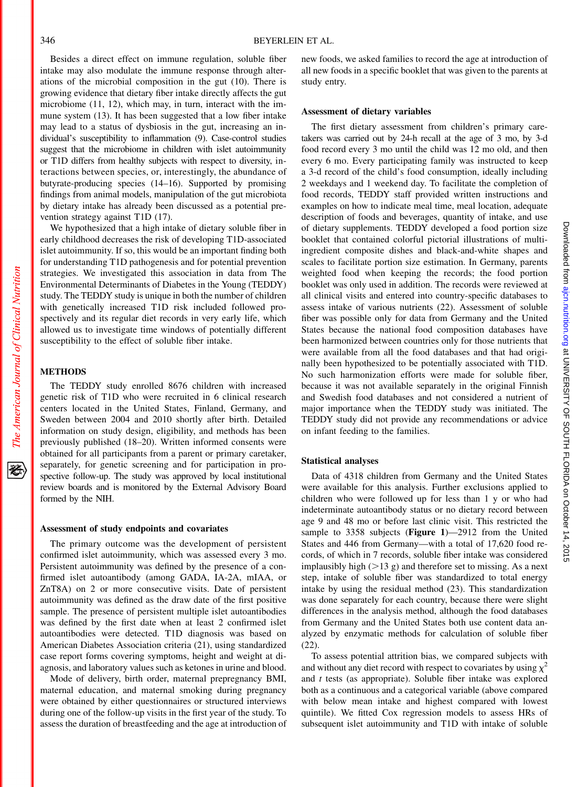Besides a direct effect on immune regulation, soluble fiber intake may also modulate the immune response through alterations of the microbial composition in the gut (10). There is growing evidence that dietary fiber intake directly affects the gut microbiome (11, 12), which may, in turn, interact with the immune system (13). It has been suggested that a low fiber intake may lead to a status of dysbiosis in the gut, increasing an individual's susceptibility to inflammation (9). Case-control studies suggest that the microbiome in children with islet autoimmunity or T1D differs from healthy subjects with respect to diversity, interactions between species, or, interestingly, the abundance of butyrate-producing species (14–16). Supported by promising findings from animal models, manipulation of the gut microbiota by dietary intake has already been discussed as a potential prevention strategy against T1D (17).

We hypothesized that a high intake of dietary soluble fiber in early childhood decreases the risk of developing T1D-associated islet autoimmunity. If so, this would be an important finding both for understanding T1D pathogenesis and for potential prevention strategies. We investigated this association in data from The Environmental Determinants of Diabetes in the Young (TEDDY) study. The TEDDY study is unique in both the number of children with genetically increased T1D risk included followed prospectively and its regular diet records in very early life, which allowed us to investigate time windows of potentially different susceptibility to the effect of soluble fiber intake.

# **METHODS**

The American Journal of Clinical Nutrition

移

The TEDDY study enrolled 8676 children with increased genetic risk of T1D who were recruited in 6 clinical research centers located in the United States, Finland, Germany, and Sweden between 2004 and 2010 shortly after birth. Detailed information on study design, eligibility, and methods has been previously published (18–20). Written informed consents were obtained for all participants from a parent or primary caretaker, separately, for genetic screening and for participation in prospective follow-up. The study was approved by local institutional review boards and is monitored by the External Advisory Board formed by the NIH.

#### Assessment of study endpoints and covariates

The primary outcome was the development of persistent confirmed islet autoimmunity, which was assessed every 3 mo. Persistent autoimmunity was defined by the presence of a confirmed islet autoantibody (among GADA, IA-2A, mIAA, or ZnT8A) on 2 or more consecutive visits. Date of persistent autoimmunity was defined as the draw date of the first positive sample. The presence of persistent multiple islet autoantibodies was defined by the first date when at least 2 confirmed islet autoantibodies were detected. T1D diagnosis was based on American Diabetes Association criteria (21), using standardized case report forms covering symptoms, height and weight at diagnosis, and laboratory values such as ketones in urine and blood.

Mode of delivery, birth order, maternal prepregnancy BMI, maternal education, and maternal smoking during pregnancy were obtained by either questionnaires or structured interviews during one of the follow-up visits in the first year of the study. To assess the duration of breastfeeding and the age at introduction of

new foods, we asked families to record the age at introduction of all new foods in a specific booklet that was given to the parents at study entry.

#### Assessment of dietary variables

The first dietary assessment from children's primary caretakers was carried out by 24-h recall at the age of 3 mo, by 3-d food record every 3 mo until the child was 12 mo old, and then every 6 mo. Every participating family was instructed to keep a 3-d record of the child's food consumption, ideally including 2 weekdays and 1 weekend day. To facilitate the completion of food records, TEDDY staff provided written instructions and examples on how to indicate meal time, meal location, adequate description of foods and beverages, quantity of intake, and use of dietary supplements. TEDDY developed a food portion size booklet that contained colorful pictorial illustrations of multiingredient composite dishes and black-and-white shapes and scales to facilitate portion size estimation. In Germany, parents weighted food when keeping the records; the food portion booklet was only used in addition. The records were reviewed at all clinical visits and entered into country-specific databases to assess intake of various nutrients (22). Assessment of soluble fiber was possible only for data from Germany and the United States because the national food composition databases have been harmonized between countries only for those nutrients that were available from all the food databases and that had originally been hypothesized to be potentially associated with T1D. No such harmonization efforts were made for soluble fiber, because it was not available separately in the original Finnish and Swedish food databases and not considered a nutrient of major importance when the TEDDY study was initiated. The TEDDY study did not provide any recommendations or advice on infant feeding to the families.

### Statistical analyses

Data of 4318 children from Germany and the United States were available for this analysis. Further exclusions applied to children who were followed up for less than 1 y or who had indeterminate autoantibody status or no dietary record between age 9 and 48 mo or before last clinic visit. This restricted the sample to 3358 subjects (Figure 1)—2912 from the United States and 446 from Germany—with a total of 17,620 food records, of which in 7 records, soluble fiber intake was considered implausibly high  $(>13$  g) and therefore set to missing. As a next step, intake of soluble fiber was standardized to total energy intake by using the residual method (23). This standardization was done separately for each country, because there were slight differences in the analysis method, although the food databases from Germany and the United States both use content data analyzed by enzymatic methods for calculation of soluble fiber (22).

To assess potential attrition bias, we compared subjects with and without any diet record with respect to covariates by using  $\chi^2$ and t tests (as appropriate). Soluble fiber intake was explored both as a continuous and a categorical variable (above compared with below mean intake and highest compared with lowest quintile). We fitted Cox regression models to assess HRs of subsequent islet autoimmunity and T1D with intake of soluble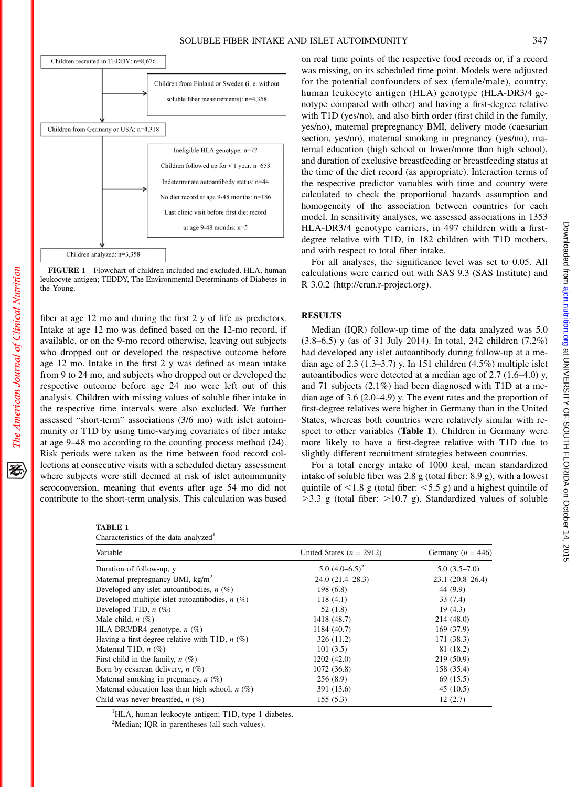

FIGURE 1 Flowchart of children included and excluded. H leukocyte antigen; TEDDY, The Environmental Determinants of the Young.

fiber at age 12 mo and during the first 2 y of life as predictors. Intake at age 12 mo was defined based on the 12-mo record, if available, or on the 9-mo record otherwise, leaving out subjects who dropped out or developed the respective outcome before age 12 mo. Intake in the first 2 y was defined as mean intake from 9 to 24 mo, and subjects who dropped out or developed the respective outcome before age 24 mo were left out of this analysis. Children with missing values of soluble fiber intake in the respective time intervals were also excluded. We further assessed "short-term" associations (3/6 mo) with islet autoimmunity or T1D by using time-varying covariates of fiber intake at age 9–48 mo according to the counting process method (24). Risk periods were taken as the time between food record collections at consecutive visits with a scheduled dietary assessment where subjects were still deemed at risk of islet autoimmunity seroconversion, meaning that events after age 54 mo did not contribute to the short-term analysis. This calculation was based

| `T<br>.<br>э. |  |
|---------------|--|
|---------------|--|

The American Journal of Clinical Nutrition

移

| Characteristics of the data analyzed <sup>1</sup> |  |  |  |  |
|---------------------------------------------------|--|--|--|--|
|---------------------------------------------------|--|--|--|--|

| $r: n = 0.55$             |                                                                                                                                 |
|---------------------------|---------------------------------------------------------------------------------------------------------------------------------|
|                           | the time of the diet record (as appropriate). Interaction terms of                                                              |
| $is: n=44$                | the respective predictor variables with time and country were                                                                   |
| $s: n=186$                | calculated to check the proportional hazards assumption and                                                                     |
|                           | homogeneity of the association between countries for each                                                                       |
| record                    | model. In sensitivity analyses, we assessed associations in 1353                                                                |
|                           | HLA-DR3/4 genotype carriers, in 497 children with a first-                                                                      |
|                           | degree relative with T1D, in 182 children with T1D mothers,                                                                     |
|                           | and with respect to total fiber intake.                                                                                         |
| ILA, human<br>Diabetes in | For all analyses, the significance level was set to 0.05. All<br>calculations were carried out with SAS 9.3 (SAS Institute) and |
|                           | R 3.0.2 (http://cran.r-project.org).                                                                                            |
|                           |                                                                                                                                 |

on real time points of the respective food records or, if a record was missing, on its scheduled time point. Models were adjusted for the potential confounders of sex (female/male), country, human leukocyte antigen (HLA) genotype (HLA-DR3/4 genotype compared with other) and having a first-degree relative with T1D (yes/no), and also birth order (first child in the family, yes/no), maternal prepregnancy BMI, delivery mode (caesarian section, yes/no), maternal smoking in pregnancy (yes/no), maternal education (high school or lower/more than high school), and duration of exclusive breastfeeding or breastfeeding status at

# RESULTS

Median (IQR) follow-up time of the data analyzed was 5.0 (3.8–6.5) y (as of 31 July 2014). In total, 242 children (7.2%) had developed any islet autoantibody during follow-up at a median age of 2.3  $(1.3-3.7)$  y. In 151 children  $(4.5%)$  multiple islet autoantibodies were detected at a median age of 2.7 (1.6–4.0) y, and 71 subjects (2.1%) had been diagnosed with T1D at a median age of 3.6 (2.0–4.9) y. The event rates and the proportion of first-degree relatives were higher in Germany than in the United States, whereas both countries were relatively similar with respect to other variables (Table 1). Children in Germany were more likely to have a first-degree relative with T1D due to slightly different recruitment strategies between countries.

For a total energy intake of 1000 kcal, mean standardized intake of soluble fiber was 2.8 g (total fiber: 8.9 g), with a lowest quintile of  $\leq$ 1.8 g (total fiber:  $\leq$ 5.5 g) and a highest quintile of  $>3.3$  g (total fiber:  $>10.7$  g). Standardized values of soluble

| Variable                                          | United States $(n = 2912)$ | Germany ( $n = 446$ ) |  |
|---------------------------------------------------|----------------------------|-----------------------|--|
| Duration of follow-up, y                          | 5.0 $(4.0-6.5)^2$          | $5.0(3.5-7.0)$        |  |
| Maternal prepregnancy BMI, kg/m <sup>2</sup>      | $24.0(21.4 - 28.3)$        | $23.1(20.8-26.4)$     |  |
| Developed any islet autoantibodies, $n$ (%)       | 198(6.8)                   | 44 (9.9)              |  |
| Developed multiple islet autoantibodies, $n$ (%)  | 118(4.1)                   | 33(7.4)               |  |
| Developed T1D, $n$ $(\%)$                         | 52 (1.8)                   | 19(4.3)               |  |
| Male child, $n$ $(\%)$                            | 1418 (48.7)                | 214(48.0)             |  |
| HLA-DR3/DR4 genotype, $n$ (%)                     | 1184 (40.7)                | 169(37.9)             |  |
| Having a first-degree relative with T1D, $n$ (%)  | 326 (11.2)                 | 171(38.3)             |  |
| Maternal T1D, $n$ (%)                             | 101(3.5)                   | 81 (18.2)             |  |
| First child in the family, $n(\%)$                | 1202 (42.0)                | 219 (50.9)            |  |
| Born by cesarean delivery, $n(\%)$                | 1072 (36.8)                | 158 (35.4)            |  |
| Maternal smoking in pregnancy, $n$ (%)            | 256(8.9)                   | 69(15.5)              |  |
| Maternal education less than high school, $n(\%)$ | 391 (13.6)                 | 45(10.5)              |  |
| Child was never breastfed, $n$ (%)                | 155(5.3)                   | 12(2.7)               |  |

<sup>1</sup>HLA, human leukocyte antigen; T1D, type 1 diabetes.

<sup>2</sup>Median; IQR in parentheses (all such values).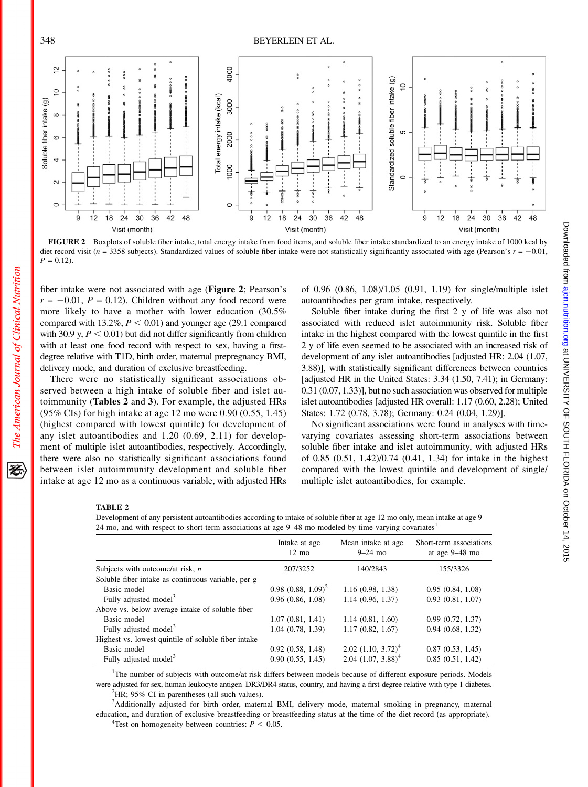

FIGURE 2 Boxplots of soluble fiber intake, total energy intake from food items, and soluble fiber intake standardized to an energy intake of 1000 kcal by diet record visit ( $n = 3358$  subjects). Standardized values of soluble fiber intake were not statistically significantly associated with age (Pearson's  $r = -0.01$ ,  $P = 0.12$ .

fiber intake were not associated with age (Figure 2; Pearson's  $r = -0.01$ ,  $P = 0.12$ ). Children without any food record were more likely to have a mother with lower education (30.5% compared with 13.2%,  $P < 0.01$ ) and younger age (29.1 compared with 30.9 y,  $P < 0.01$ ) but did not differ significantly from children with at least one food record with respect to sex, having a firstdegree relative with T1D, birth order, maternal prepregnancy BMI, delivery mode, and duration of exclusive breastfeeding.

There were no statistically significant associations observed between a high intake of soluble fiber and islet autoimmunity (Tables 2 and 3). For example, the adjusted HRs (95% CIs) for high intake at age 12 mo were 0.90 (0.55, 1.45) (highest compared with lowest quintile) for development of any islet autoantibodies and 1.20 (0.69, 2.11) for development of multiple islet autoantibodies, respectively. Accordingly, there were also no statistically significant associations found between islet autoimmunity development and soluble fiber intake at age 12 mo as a continuous variable, with adjusted HRs of 0.96 (0.86, 1.08)/1.05 (0.91, 1.19) for single/multiple islet autoantibodies per gram intake, respectively.

Soluble fiber intake during the first 2 y of life was also not associated with reduced islet autoimmunity risk. Soluble fiber intake in the highest compared with the lowest quintile in the first 2 y of life even seemed to be associated with an increased risk of development of any islet autoantibodies [adjusted HR: 2.04 (1.07, 3.88)], with statistically significant differences between countries [adjusted HR in the United States: 3.34 (1.50, 7.41); in Germany: 0.31 (0.07, 1.33)], but no such association was observed for multiple islet autoantibodies [adjusted HR overall: 1.17 (0.60, 2.28); United States: 1.72 (0.78, 3.78); Germany: 0.24 (0.04, 1.29)].

No significant associations were found in analyses with timevarying covariates assessing short-term associations between soluble fiber intake and islet autoimmunity, with adjusted HRs of 0.85 (0.51, 1.42)/0.74 (0.41, 1.34) for intake in the highest compared with the lowest quintile and development of single/ multiple islet autoantibodies, for example.

# TABLE 2

The American Journal of Clinical Nutrition

资

Development of any persistent autoantibodies according to intake of soluble fiber at age 12 mo only, mean intake at age 9– 24 mo, and with respect to short-term associations at age 9–48 mo modeled by time-varying covariates1

|                                                     | Intake at age<br>$12 \text{ mo}$ | Mean intake at age<br>$9-24$ mo  | Short-term associations<br>at age $9-48$ mo |
|-----------------------------------------------------|----------------------------------|----------------------------------|---------------------------------------------|
| Subjects with outcome/at risk, $n$                  | 207/3252                         | 140/2843                         | 155/3326                                    |
| Soluble fiber intake as continuous variable, per g  |                                  |                                  |                                             |
| Basic model                                         | $0.98(0.88, 1.09)^2$             | 1.16(0.98, 1.38)                 | 0.95(0.84, 1.08)                            |
| Fully adjusted model <sup>3</sup>                   | 0.96(0.86, 1.08)                 | 1.14(0.96, 1.37)                 | 0.93(0.81, 1.07)                            |
| Above vs. below average intake of soluble fiber     |                                  |                                  |                                             |
| Basic model                                         | 1.07(0.81, 1.41)                 | 1.14(0.81, 1.60)                 | 0.99(0.72, 1.37)                            |
| Fully adjusted model <sup>3</sup>                   | 1.04(0.78, 1.39)                 | 1.17(0.82, 1.67)                 | 0.94(0.68, 1.32)                            |
| Highest vs. lowest quintile of soluble fiber intake |                                  |                                  |                                             |
| Basic model                                         | 0.92(0.58, 1.48)                 | $2.02$ $(1.10, 3.72)^4$          | 0.87(0.53, 1.45)                            |
| Fully adjusted model <sup>3</sup>                   | 0.90(0.55, 1.45)                 | $2.04$ (1.07, 3.88) <sup>4</sup> | 0.85(0.51, 1.42)                            |

<sup>1</sup>The number of subjects with outcome/at risk differs between models because of different exposure periods. Models were adjusted for sex, human leukocyte antigen–DR3/DR4 status, country, and having a first-degree relative with type 1 diabetes. <sup>2</sup>  ${}^{2}$ HR; 95% CI in parentheses (all such values).

3 Additionally adjusted for birth order, maternal BMI, delivery mode, maternal smoking in pregnancy, maternal education, and duration of exclusive breastfeeding or breastfeeding status at the time of the diet record (as appropriate).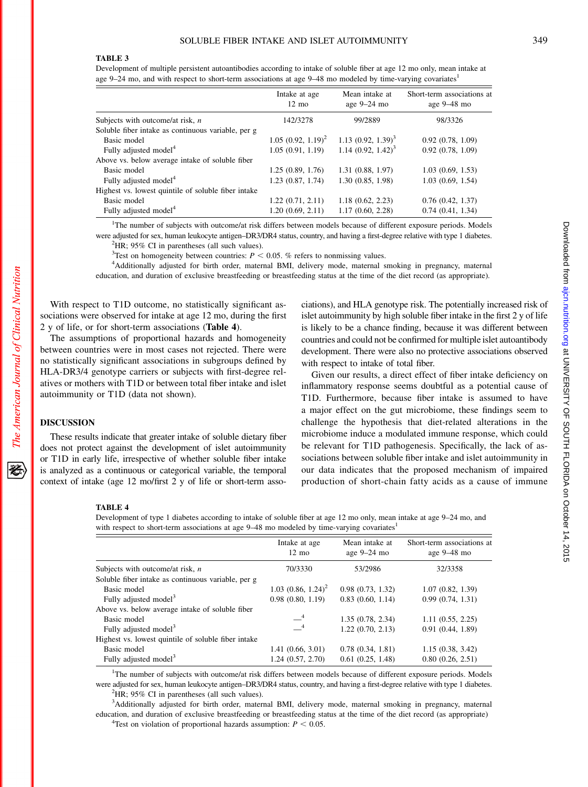### TABLE 3

Development of multiple persistent autoantibodies according to intake of soluble fiber at age 12 mo only, mean intake at age 9–24 mo, and with respect to short-term associations at age 9–48 mo modeled by time-varying covariates<sup>1</sup>

|                                                     | Intake at age<br>$12 \text{ mo}$ | Mean intake at<br>age $9-24$ mo | Short-term associations at<br>age $9-48$ mo |
|-----------------------------------------------------|----------------------------------|---------------------------------|---------------------------------------------|
| Subjects with outcome/at risk, $n$                  | 142/3278                         | 99/2889                         | 98/3326                                     |
| Soluble fiber intake as continuous variable, per g  |                                  |                                 |                                             |
| Basic model                                         | $1.05$ $(0.92, 1.19)^2$          | 1.13 $(0.92, 1.39)^3$           | 0.92(0.78, 1.09)                            |
| Fully adjusted model <sup>4</sup>                   | 1.05(0.91, 1.19)                 | 1.14 $(0.92, 1.42)^3$           | 0.92(0.78, 1.09)                            |
| Above vs. below average intake of soluble fiber     |                                  |                                 |                                             |
| Basic model                                         | 1.25(0.89, 1.76)                 | 1.31(0.88, 1.97)                | 1.03(0.69, 1.53)                            |
| Fully adjusted model <sup>4</sup>                   | 1.23(0.87, 1.74)                 | 1.30(0.85, 1.98)                | 1.03(0.69, 1.54)                            |
| Highest vs. lowest quintile of soluble fiber intake |                                  |                                 |                                             |
| Basic model                                         | 1.22(0.71, 2.11)                 | 1.18(0.62, 2.23)                | 0.76(0.42, 1.37)                            |
| Fully adjusted model <sup>4</sup>                   | 1.20(0.69, 2.11)                 | 1.17(0.60, 2.28)                | 0.74(0.41, 1.34)                            |

<sup>1</sup>The number of subjects with outcome/at risk differs between models because of different exposure periods. Models were adjusted for sex, human leukocyte antigen-DR3/DR4 status, country, and having a first-degree relative with type 1 diabetes.  ${}^{2}$ HR; 95% CI in parentheses (all such values).

<sup>3</sup>Test on homogeneity between countries:  $P < 0.05$ . % refers to nonmissing values.<br><sup>4</sup>Additionally adjusted for high order maternal BML delivery mode, maternal s

Additionally adjusted for birth order, maternal BMI, delivery mode, maternal smoking in pregnancy, maternal education, and duration of exclusive breastfeeding or breastfeeding status at the time of the diet record (as appropriate).

With respect to T1D outcome, no statistically significant associations were observed for intake at age 12 mo, during the first 2 y of life, or for short-term associations (Table 4).

The assumptions of proportional hazards and homogeneity between countries were in most cases not rejected. There were no statistically significant associations in subgroups defined by HLA-DR3/4 genotype carriers or subjects with first-degree relatives or mothers with T1D or between total fiber intake and islet autoimmunity or T1D (data not shown).

#### DISCUSSION

These results indicate that greater intake of soluble dietary fiber does not protect against the development of islet autoimmunity or T1D in early life, irrespective of whether soluble fiber intake is analyzed as a continuous or categorical variable, the temporal context of intake (age 12 mo/first 2 y of life or short-term associations), and HLA genotype risk. The potentially increased risk of islet autoimmunity by high soluble fiber intake in the first 2 y of life is likely to be a chance finding, because it was different between countries and could not be confirmed for multiple islet autoantibody development. There were also no protective associations observed with respect to intake of total fiber.

Given our results, a direct effect of fiber intake deficiency on inflammatory response seems doubtful as a potential cause of T1D. Furthermore, because fiber intake is assumed to have a major effect on the gut microbiome, these findings seem to challenge the hypothesis that diet-related alterations in the microbiome induce a modulated immune response, which could be relevant for T1D pathogenesis. Specifically, the lack of associations between soluble fiber intake and islet autoimmunity in our data indicates that the proposed mechanism of impaired production of short-chain fatty acids as a cause of immune

# TABLE 4

Development of type 1 diabetes according to intake of soluble fiber at age 12 mo only, mean intake at age 9–24 mo, and with respect to short-term associations at age 9–48 mo modeled by time-varying covariates<sup>1</sup>

|                                                     | Intake at age<br>$12 \text{ mo}$ | Mean intake at<br>age $9-24$ mo | Short-term associations at<br>age $9-48$ mo |
|-----------------------------------------------------|----------------------------------|---------------------------------|---------------------------------------------|
| Subjects with outcome/at risk, $n$                  | 70/3330                          | 53/2986                         | 32/3358                                     |
| Soluble fiber intake as continuous variable, per g  |                                  |                                 |                                             |
| Basic model                                         | $1.03$ $(0.86, 1.24)^2$          | 0.98(0.73, 1.32)                | 1.07(0.82, 1.39)                            |
| Fully adjusted model <sup>3</sup>                   | 0.98(0.80, 1.19)                 | 0.83(0.60, 1.14)                | 0.99(0.74, 1.31)                            |
| Above vs. below average intake of soluble fiber     |                                  |                                 |                                             |
| Basic model                                         | $-4$                             | 1.35(0.78, 2.34)                | 1.11(0.55, 2.25)                            |
| Fully adjusted model <sup>3</sup>                   | $-4$                             | 1.22(0.70, 2.13)                | 0.91(0.44, 1.89)                            |
| Highest vs. lowest quintile of soluble fiber intake |                                  |                                 |                                             |
| Basic model                                         | 1.41(0.66, 3.01)                 | 0.78(0.34, 1.81)                | 1.15(0.38, 3.42)                            |
| Fully adjusted model <sup>3</sup>                   | 1.24(0.57, 2.70)                 | 0.61(0.25, 1.48)                | 0.80(0.26, 2.51)                            |

<sup>1</sup>The number of subjects with outcome/at risk differs between models because of different exposure periods. Models were adjusted for sex, human leukocyte antigen–DR3/DR4 status, country, and having a first-degree relative with type 1 diabetes.  ${}^{2}$ HR; 95% CI in parentheses (all such values).

3 Additionally adjusted for birth order, maternal BMI, delivery mode, maternal smoking in pregnancy, maternal education, and duration of exclusive breastfeeding or breastfeeding status at the time of the diet record (as appropriate)

经

Downloaded from ajcn.nutrition.org at UNIVERSITY OF SOUTH FLORIDA on October 14, 2015 Downloaded trom and university OF SOUTH HLODIDA OF SOUTH HLORIDA or October 14, 2015

<sup>&</sup>lt;sup>4</sup>Test on violation of proportional hazards assumption:  $P < 0.05$ .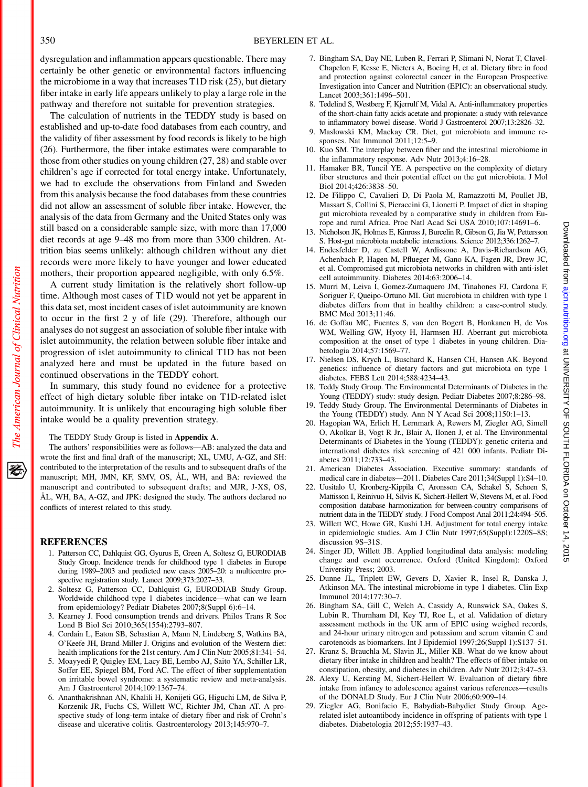dysregulation and inflammation appears questionable. There may certainly be other genetic or environmental factors influencing the microbiome in a way that increases T1D risk (25), but dietary fiber intake in early life appears unlikely to play a large role in the pathway and therefore not suitable for prevention strategies.

The calculation of nutrients in the TEDDY study is based on established and up-to-date food databases from each country, and the validity of fiber assessment by food records is likely to be high (26). Furthermore, the fiber intake estimates were comparable to those from other studies on young children (27, 28) and stable over children's age if corrected for total energy intake. Unfortunately, we had to exclude the observations from Finland and Sweden from this analysis because the food databases from these countries did not allow an assessment of soluble fiber intake. However, the analysis of the data from Germany and the United States only was still based on a considerable sample size, with more than 17,000 diet records at age 9–48 mo from more than 3300 children. Attrition bias seems unlikely: although children without any diet records were more likely to have younger and lower educated mothers, their proportion appeared negligible, with only 6.5%.

A current study limitation is the relatively short follow-up time. Although most cases of T1D would not yet be apparent in this data set, most incident cases of islet autoimmunity are known to occur in the first 2 y of life (29). Therefore, although our analyses do not suggest an association of soluble fiber intake with islet autoimmunity, the relation between soluble fiber intake and progression of islet autoimmunity to clinical T1D has not been analyzed here and must be updated in the future based on continued observations in the TEDDY cohort.

In summary, this study found no evidence for a protective effect of high dietary soluble fiber intake on T1D-related islet autoimmunity. It is unlikely that encouraging high soluble fiber intake would be a quality prevention strategy.

#### The TEDDY Study Group is listed in Appendix A.

The authors' responsibilities were as follows—AB: analyzed the data and wrote the first and final draft of the manuscript; XL, UMU, A-GZ, and SH: contributed to the interpretation of the results and to subsequent drafts of the manuscript; MH, JMN, KF, SMV, OS, AL, WH, and BA: reviewed the manuscript and contributed to subsequent drafts; and MJR, J-XS, OS, AL, WH, BA, A-GZ, and JPK: designed the study. The authors declared no conflicts of interest related to this study.

#### REFERENCES

- 1. Patterson CC, Dahlquist GG, Gyurus E, Green A, Soltesz G, EURODIAB Study Group. Incidence trends for childhood type 1 diabetes in Europe during 1989–2003 and predicted new cases 2005–20: a multicentre prospective registration study. Lancet 2009;373:2027–33.
- 2. Soltesz G, Patterson CC, Dahlquist G, EURODIAB Study Group. Worldwide childhood type 1 diabetes incidence—what can we learn from epidemiology? Pediatr Diabetes 2007;8(Suppl 6):6–14.
- 3. Kearney J. Food consumption trends and drivers. Philos Trans R Soc Lond B Biol Sci 2010;365(1554):2793–807.
- 4. Cordain L, Eaton SB, Sebastian A, Mann N, Lindeberg S, Watkins BA, O'Keefe JH, Brand-Miller J. Origins and evolution of the Western diet: health implications for the 21st century. Am J Clin Nutr 2005;81:341–54.
- 5. Moayyedi P, Quigley EM, Lacy BE, Lembo AJ, Saito YA, Schiller LR, Soffer EE, Spiegel BM, Ford AC. The effect of fiber supplementation on irritable bowel syndrome: a systematic review and meta-analysis. Am J Gastroenterol 2014;109:1367–74.
- 6. Ananthakrishnan AN, Khalili H, Konijeti GG, Higuchi LM, de Silva P, Korzenik JR, Fuchs CS, Willett WC, Richter JM, Chan AT. A prospective study of long-term intake of dietary fiber and risk of Crohn's disease and ulcerative colitis. Gastroenterology 2013;145:970–7.
- 7. Bingham SA, Day NE, Luben R, Ferrari P, Slimani N, Norat T, Clavel-Chapelon F, Kesse E, Nieters A, Boeing H, et al. Dietary fibre in food and protection against colorectal cancer in the European Prospective Investigation into Cancer and Nutrition (EPIC): an observational study. Lancet 2003;361:1496–501.
- 8. Tedelind S, Westberg F, Kjerrulf M, Vidal A. Anti-inflammatory properties of the short-chain fatty acids acetate and propionate: a study with relevance to inflammatory bowel disease. World J Gastroenterol 2007;13:2826–32.
- 9. Maslowski KM, Mackay CR. Diet, gut microbiota and immune responses. Nat Immunol 2011;12:5–9.
- 10. Kuo SM. The interplay between fiber and the intestinal microbiome in the inflammatory response. Adv Nutr 2013;4:16–28.
- 11. Hamaker BR, Tuncil YE. A perspective on the complexity of dietary fiber structures and their potential effect on the gut microbiota. J Mol Biol 2014;426:3838–50.
- 12. De Filippo C, Cavalieri D, Di Paola M, Ramazzotti M, Poullet JB, Massart S, Collini S, Pieraccini G, Lionetti P. Impact of diet in shaping gut microbiota revealed by a comparative study in children from Europe and rural Africa. Proc Natl Acad Sci USA 2010;107:14691–6.
- 13. Nicholson JK, Holmes E, Kinross J, Burcelin R, Gibson G, Jia W, Pettersson S. Host-gut microbiota metabolic interactions. Science 2012;336:1262–7.
- 14. Endesfelder D, zu Castell W, Ardissone A, Davis-Richardson AG, Achenbach P, Hagen M, Pflueger M, Gano KA, Fagen JR, Drew JC, et al. Compromised gut microbiota networks in children with anti-islet cell autoimmunity. Diabetes 2014;63:2006–14.
- 15. Murri M, Leiva I, Gomez-Zumaquero JM, Tinahones FJ, Cardona F, Soriguer F, Queipo-Ortuno MI. Gut microbiota in children with type 1 diabetes differs from that in healthy children: a case-control study. BMC Med 2013;11:46.
- 16. de Goffau MC, Fuentes S, van den Bogert B, Honkanen H, de Vos WM, Welling GW, Hyoty H, Harmsen HJ. Aberrant gut microbiota composition at the onset of type 1 diabetes in young children. Diabetologia 2014;57:1569–77.
- 17. Nielsen DS, Krych L, Buschard K, Hansen CH, Hansen AK. Beyond genetics: influence of dietary factors and gut microbiota on type 1 diabetes. FEBS Lett 2014;588:4234–43.
- 18. Teddy Study Group. The Environmental Determinants of Diabetes in the Young (TEDDY) study: study design. Pediatr Diabetes 2007;8:286–98.
- 19. Teddy Study Group. The Environmental Determinants of Diabetes in the Young (TEDDY) study. Ann N Y Acad Sci 2008;1150:1–13.
- 20. Hagopian WA, Erlich H, Lernmark A, Rewers M, Ziegler AG, Simell O, Akolkar B, Vogt R Jr., Blair A, Ilonen J, et al. The Environmental Determinants of Diabetes in the Young (TEDDY): genetic criteria and international diabetes risk screening of 421 000 infants. Pediatr Diabetes 2011;12:733–43.
- 21. American Diabetes Association. Executive summary: standards of medical care in diabetes—2011. Diabetes Care 2011;34(Suppl 1):S4–10.
- 22. Uusitalo U, Kronberg-Kippila C, Aronsson CA, Schakel S, Schoen S, Mattisson I, Reinivuo H, Silvis K, Sichert-Hellert W, Stevens M, et al. Food composition database harmonization for between-country comparisons of nutrient data in the TEDDY study. J Food Compost Anal 2011;24:494–505.
- 23. Willett WC, Howe GR, Kushi LH. Adjustment for total energy intake in epidemiologic studies. Am J Clin Nutr 1997;65(Suppl):1220S–8S; discussion 9S–31S.
- 24. Singer JD, Willett JB. Applied longitudinal data analysis: modeling change and event occurrence. Oxford (United Kingdom): Oxford University Press; 2003.
- 25. Dunne JL, Triplett EW, Gevers D, Xavier R, Insel R, Danska J, Atkinson MA. The intestinal microbiome in type 1 diabetes. Clin Exp Immunol 2014;177:30–7.
- 26. Bingham SA, Gill C, Welch A, Cassidy A, Runswick SA, Oakes S, Lubin R, Thurnham DI, Key TJ, Roe L, et al. Validation of dietary assessment methods in the UK arm of EPIC using weighed records, and 24-hour urinary nitrogen and potassium and serum vitamin C and carotenoids as biomarkers. Int J Epidemiol 1997;26(Suppl 1):S137–51.
- 27. Kranz S, Brauchla M, Slavin JL, Miller KB. What do we know about dietary fiber intake in children and health? The effects of fiber intake on constipation, obesity, and diabetes in children. Adv Nutr 2012;3:47–53.
- 28. Alexy U, Kersting M, Sichert-Hellert W. Evaluation of dietary fibre intake from infancy to adolescence against various references—results of the DONALD Study. Eur J Clin Nutr 2006;60:909–14.
- 29. Ziegler AG, Bonifacio E, Babydiab-Babydiet Study Group. Agerelated islet autoantibody incidence in offspring of patients with type 1 diabetes. Diabetologia 2012;55:1937–43.

The American Journal of Clinical Nutrition

豾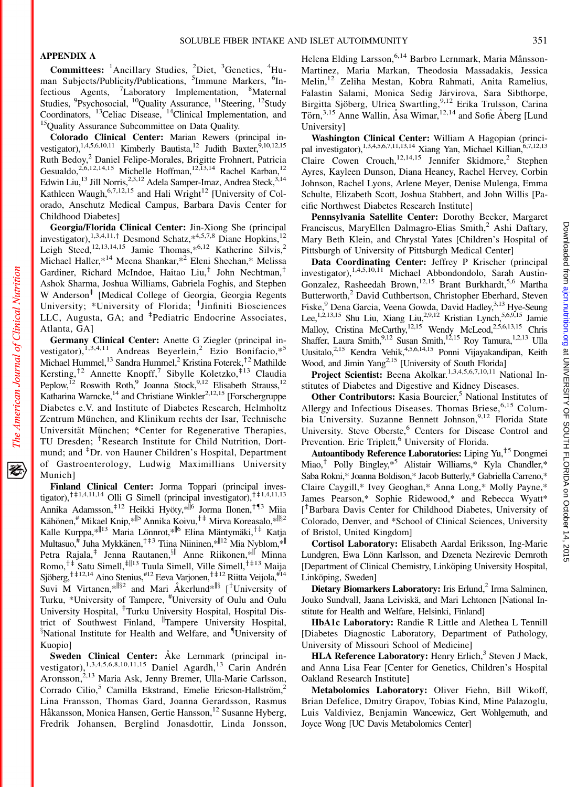# APPENDIX A

Committees: <sup>1</sup>Ancillary Studies, <sup>2</sup>Diet, <sup>3</sup>Genetics, <sup>4</sup>Human Subjects/Publicity/Publications, <sup>5</sup>Immune Markers, <sup>6</sup>Infectious Agents, <sup>7</sup>Laboratory Implementation, <sup>8</sup>Maternal Studies, <sup>9</sup>Psychosocial, <sup>10</sup>Quality Assurance, <sup>11</sup>Steering, <sup>12</sup>Study Coordinators, 13Celiac Disease, 14Clinical Implementation, and 15Quality Assurance Subcommittee on Data Quality.

Colorado Clinical Center: Marian Rewers (principal investigator),<sup>1,4,5,6,10,11</sup> Kimberly Bautista,<sup>12</sup> Judith Baxter,<sup>5,10,12,15</sup> Ruth Bedoy,<sup>2</sup> Daniel Felipe-Morales, Brigitte Frohnert, Patricia Gesualdo,<sup>2,6,12,14,15</sup> Michelle Hoffman,<sup>12,13,14</sup> Rachel Karban,<sup>12</sup> Edwin Liu,<sup>13</sup> Jill Norris,<sup>2,3,12</sup> Adela Samper-Imaz, Andrea Steck,<sup>3,14</sup> Kathleen Waugh,  $6,7,12,15$  and Hali Wright<sup>12</sup> [University of Colorado, Anschutz Medical Campus, Barbara Davis Center for Childhood Diabetes]

Georgia/Florida Clinical Center: Jin-Xiong She (principal investigator),<sup>1,3,4,11,†</sup> Desmond Schatz,\*<sup>4,5,7,8</sup> Diane Hopkins,<sup>12</sup> Leigh Steed,<sup>12,13,14,15</sup> Jamie Thomas,\*<sup>6,12</sup> Katherine Silvis,<sup>2</sup> Michael Haller,\*14 Meena Shankar,\*2 Eleni Sheehan,\* Melissa Gardiner, Richard McIndoe, Haitao Liu,<sup>†</sup> John Nechtman,<sup>†</sup> Ashok Sharma, Joshua Williams, Gabriela Foghis, and Stephen W Anderson<sup>‡</sup> [Medical College of Georgia, Georgia Regents University; \*University of Florida; <sup>†</sup>Jinfiniti Biosciences LLC, Augusta, GA; and <sup>‡</sup>Pediatric Endocrine Associates, Atlanta, GA]

Germany Clinical Center: Anette G Ziegler (principal investigator),<sup>1,3,4,11</sup> Andreas Beyerlein,<sup>2</sup> Ezio Bonifacio,\*<sup>5</sup> Michael Hummel,<sup>13</sup> Sandra Hummel,<sup>2</sup> Kristina Foterek,<sup>†2</sup> Mathilde Kersting,<sup>†2</sup> Annette Knopff,<sup>7</sup> Sibylle Koletzko,<sup>‡13</sup> Claudia Peplow,<sup>12</sup> Roswith Roth,<sup>9</sup> Joanna Stock,<sup>9,12</sup> Elisabeth Strauss,<sup>12</sup> Katharina Warncke, $14$  and Christiane Winkler<sup>2,12,15</sup> [Forschergruppe] Diabetes e.V. and Institute of Diabetes Research, Helmholtz Zentrum München, and Klinikum rechts der Isar, Technische Universität München; \*Center for Regenerative Therapies, TU Dresden; <sup>†</sup>Research Institute for Child Nutrition, Dortmund; and <sup>‡</sup>Dr. von Hauner Children's Hospital, Department of Gastroenterology, Ludwig Maximillians University Munich]

Finland Clinical Center: Jorma Toppari (principal investigator),<sup>†‡1,4,11,14</sup> Olli G Simell (principal investigator),<sup>†‡1,4,11,13</sup> Annika Adamsson,<sup>‡12</sup> Heikki Hyöty,\*<sup>||6</sup> Jorma Ilonen,<sup>†¶3</sup> Miia Kähönen,<sup>#</sup> Mikael Knip,\*<sup>||5</sup> Annika Koivu,<sup>†‡</sup> Mirva Koreasalo,\*<sup>||§2</sup> Kalle Kurppa,\* $||13$  Maria Lönnrot,\* $||6$  Elina Mäntymäki,<sup>†‡</sup> Katja Multasuo,  $\widehat{f}$  Juha Mykkänen,  $\widehat{f}^{\,\ddagger\,3}$  Tiina Niininen,  $\widehat{f}^{\,\parallel\,12}$  Mia Nyblom,  $\widehat{f}^{\,\parallel}$ Petra Rajala,<sup>‡</sup> Jenna Rautanen, <sup>§||</sup> Anne Riikonen, \*<sup>||</sup> Minna Romo,<sup> $\dagger$ ‡</sup> Satu Simell, $\ddagger$ <sup>||13</sup> Tuula Simell, Ville Simell, $\dagger$ <sup> $\dagger$ </sup><sup>13</sup> Maija Sjöberg,<sup>†‡12,14</sup> Aino Stenius,<sup>#12</sup> Eeva Varjonen,<sup>†‡12</sup> Riitta Veijola,<sup>#14</sup> Suvi M Virtanen,\* $|S^2|$  and Mari Åkerlund\* $|S|$  [<sup>†</sup>University of Turku, \*University of Tampere, # University of Oulu and Oulu University Hospital, <sup>‡</sup>Turku University Hospital, Hospital District of Southwest Finland, <sup>||</sup>Tampere University Hospital, <sup>§</sup>National Institute for Health and Welfare, and <sup>¶</sup>University of Kuopio]

Sweden Clinical Center: Åke Lernmark (principal investigator),<sup>1,3,4,5,6,8,10,11,15</sup> Daniel Agardh,<sup>13</sup> Carin Andrén Aronsson,<sup>2,13</sup> Maria Ask, Jenny Bremer, Ulla-Marie Carlsson, Corrado Cilio,<sup>5</sup> Camilla Ekstrand, Emelie Ericson-Hallström,<sup>2</sup> Lina Fransson, Thomas Gard, Joanna Gerardsson, Rasmus Håkansson, Monica Hansen, Gertie Hansson, <sup>12</sup> Susanne Hyberg, Fredrik Johansen, Berglind Jonasdottir, Linda Jonsson,

Helena Elding Larsson,<sup>6,14</sup> Barbro Lernmark, Maria Månsson-Martinez, Maria Markan, Theodosia Massadakis, Jessica Melin,<sup>12</sup> Zeliha Mestan, Kobra Rahmati, Anita Ramelius, Falastin Salami, Monica Sedig Järvirova, Sara Sibthorpe, Birgitta Sjöberg, Ulrica Swartling,<sup>9,12</sup> Erika Trulsson, Carina Törn,<sup>3,15</sup> Anne Wallin, Åsa Wimar,<sup>12,14</sup> and Sofie Åberg [Lund University]

Washington Clinical Center: William A Hagopian (principal investigator),<sup>1,3,4,5,6,7,11,13,14</sup> Xiang Yan, Michael Killian, $6,7,12,13$ Claire Cowen Crouch,<sup>12,14,15</sup> Jennifer Skidmore,<sup>2</sup> Stephen Ayres, Kayleen Dunson, Diana Heaney, Rachel Hervey, Corbin Johnson, Rachel Lyons, Arlene Meyer, Denise Mulenga, Emma Schulte, Elizabeth Scott, Joshua Stabbert, and John Willis [Pacific Northwest Diabetes Research Institute]

Pennsylvania Satellite Center: Dorothy Becker, Margaret Franciscus, MaryEllen Dalmagro-Elias Smith,<sup>2</sup> Ashi Daftary, Mary Beth Klein, and Chrystal Yates [Children's Hospital of Pittsburgh of University of Pittsburgh Medical Center]

Data Coordinating Center: Jeffrey P Krischer (principal investigator),<sup>1,4,5,10,11</sup> Michael Abbondondolo, Sarah Austin-Gonzalez, Rasheedah Brown,<sup>12,15</sup> Brant Burkhardt,<sup>5,6</sup> Martha Butterworth,<sup>2</sup> David Cuthbertson, Christopher Eberhard, Steven Fiske,<sup>9</sup> Dena Garcia, Veena Gowda, David Hadley,<sup>3,13</sup> Hye-Seung Lee,<sup>1,2,13,15</sup> Shu Liu, Xiang Liu,<sup>2,9,12</sup> Kristian Lynch,<sup>5,6,9,15</sup> Jamie Malloy, Cristina McCarthy,<sup>12,15</sup> Wendy McLeod,<sup>2,5,6,13,15</sup> Chris Shaffer, Laura Smith,<sup>9,12</sup> Susan Smith,<sup>12,15</sup> Roy Tamura,<sup>1,2,13</sup> Ulla Uusitalo,<sup>2,15</sup> Kendra Vehik,<sup>4,5,6,14,15</sup> Ponni Vijayakandipan, Keith Wood, and Jimin Yang<sup>2,15</sup> [University of South Florida]

Project Scientist: Beena Akolkar.<sup>1,3,4,5,6,7,10,11</sup> National Institutes of Diabetes and Digestive and Kidney Diseases.

Other Contributors: Kasia Bourcier,<sup>5</sup> National Institutes of Allergy and Infectious Diseases. Thomas Briese,<sup>6,15</sup> Columbia University. Suzanne Bennett Johnson,<sup>9,12</sup> Florida State University. Steve Oberste,<sup>6</sup> Centers for Disease Control and Prevention. Eric Triplett,<sup>6</sup> University of Florida.

Autoantibody Reference Laboratories: Liping Yu,<sup> $+5$ </sup> Dongmei Miao,<sup>†</sup> Polly Bingley,\*<sup>5</sup> Alistair Williams,\* Kyla Chandler,\* Saba Rokni,\* Joanna Boldison,\* Jacob Butterly,\* Gabriella Carreno,\* Claire Caygill,\* Ivey Geoghan,\* Anna Long,\* Molly Payne,\* James Pearson,\* Sophie Ridewood,\* and Rebecca Wyatt\* [<sup>†</sup>Barbara Davis Center for Childhood Diabetes, University of Colorado, Denver, and \*School of Clinical Sciences, University of Bristol, United Kingdom]

Cortisol Laboratory: Elisabeth Aardal Eriksson, Ing-Marie Lundgren, Ewa Lönn Karlsson, and Dzeneta Nezirevic Dernroth [Department of Clinical Chemistry, Linköping University Hospital, Linköping, Sweden]

Dietary Biomarkers Laboratory: Iris Erlund, $<sup>2</sup>$  Irma Salminen,</sup> Jouko Sundvall, Jaana Leiviskä, and Mari Lehtonen [National Institute for Health and Welfare, Helsinki, Finland]

HbA1c Laboratory: Randie R Little and Alethea L Tennill [Diabetes Diagnostic Laboratory, Department of Pathology, University of Missouri School of Medicine]

HLA Reference Laboratory: Henry Erlich,<sup>3</sup> Steven J Mack, and Anna Lisa Fear [Center for Genetics, Children's Hospital Oakland Research Institute]

Metabolomics Laboratory: Oliver Fiehn, Bill Wikoff, Brian Defelice, Dmitry Grapov, Tobias Kind, Mine Palazoglu, Luis Valdiviez, Benjamin Wancewicz, Gert Wohlgemuth, and Joyce Wong [UC Davis Metabolomics Center]

资